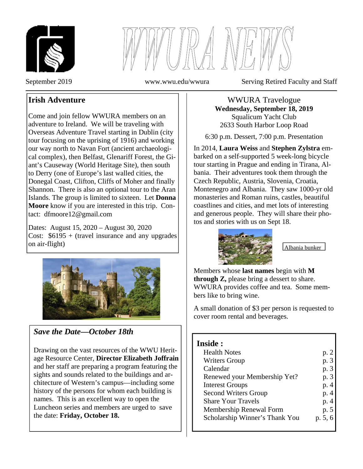



September 2019 www.wwu.edu/wwura Serving Retired Faculty and Staff

# **Irish Adventure**

Come and join fellow WWURA members on an adventure to Ireland. We will be traveling with Overseas Adventure Travel starting in Dublin (city tour focusing on the uprising of 1916) and working our way north to Navan Fort (ancient archaeological complex), then Belfast, Glenariff Forest, the Giant's Causeway (World Heritage Site), then south to Derry (one of Europe's last walled cities, the Donegal Coast, Clifton, Cliffs of Moher and finally Shannon. There is also an optional tour to the Aran Islands. The group is limited to sixteen. Let **Donna Moore** know if you are interested in this trip. Contact: dfmoore12@gmail.com

Dates: August 15, 2020 – August 30, 2020 Cost:  $$6195 + (travel insurance and any upgrade)$ on air-flight)



## *Save the Date—October 18th*

Drawing on the vast resources of the WWU Heritage Resource Center, **Director Elizabeth Joffrain** and her staff are preparing a program featuring the sights and sounds related to the buildings and architecture of Western's campus—including some history of the persons for whom each building is names. This is an excellent way to open the Luncheon series and members are urged to save the date: **Friday, October 18.**

WWURA Travelogue **Wednesday, September 18, 2019**  Squalicum Yacht Club 2633 South Harbor Loop Road

6:30 p.m. Dessert, 7:00 p.m. Presentation

In 2014, **Laura Weiss** and **Stephen Zylstra** embarked on a self-supported 5 week-long bicycle tour starting in Prague and ending in Tirana, Albania. Their adventures took them through the Czech Republic, Austria, Slovenia, Croatia, Montenegro and Albania. They saw 1000-yr old monasteries and Roman ruins, castles, beautiful coastlines and cities, and met lots of interesting and generous people. They will share their photos and stories with us on Sept 18.



Albania bunker

Members whose **last names** begin with **M through Z,** please bring a dessert to share. WWURA provides coffee and tea. Some members like to bring wine.

A small donation of \$3 per person is requested to cover room rental and beverages.

### **Inside :**

| <b>Health Notes</b>            | p. 2    |
|--------------------------------|---------|
| <b>Writers Group</b>           | p. 3    |
| Calendar                       | p. 3    |
| Renewed your Membership Yet?   | p. 3    |
| <b>Interest Groups</b>         | p. 4    |
| <b>Second Writers Group</b>    | p. 4    |
| <b>Share Your Travels</b>      | p. 4    |
| Membership Renewal Form        | p. 5    |
| Scholarship Winner's Thank You | p. 5, 6 |
|                                |         |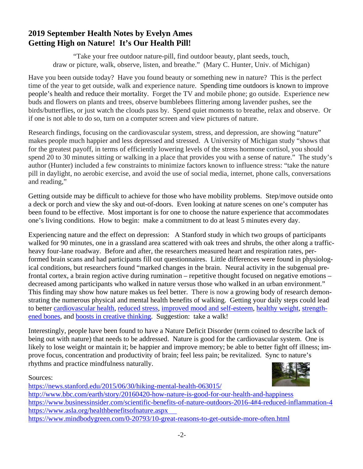## **2019 September Health Notes by Evelyn Ames Getting High on Nature! It's Our Health Pill!**

"Take your free outdoor nature-pill, find outdoor beauty, plant seeds, touch, draw or picture, walk, observe, listen, and breathe." (Mary C. Hunter, Univ. of Michigan)

Have you been outside today? Have you found beauty or something new in nature? This is the perfect time of the year to get outside, walk and experience nature. Spending time outdoors is known to improve people's health and reduce their mortality. Forget the TV and mobile phone; go outside. Experience new buds and flowers on plants and trees, observe bumblebees flittering among lavender pushes, see the birds/butterflies, or just watch the clouds pass by. Spend quiet moments to breathe, relax and observe. Or if one is not able to do so, turn on a computer screen and view pictures of nature.

Research findings, focusing on the cardiovascular system, stress, and depression, are showing "nature" makes people much happier and less depressed and stressed. A University of Michigan study "shows that for the greatest payoff, in terms of efficiently lowering levels of the stress hormone cortisol, you should spend 20 to 30 minutes sitting or walking in a place that provides you with a sense of nature." The study's author (Hunter) included a few constraints to minimize factors known to influence stress: "take the nature pill in daylight, no aerobic exercise, and avoid the use of social media, internet, phone calls, conversations and reading,"

Getting outside may be difficult to achieve for those who have mobility problems. Step/move outside onto a deck or porch and view the sky and out-of-doors. Even looking at nature scenes on one's computer has been found to be effective. Most important is for one to choose the nature experience that accommodates one's living conditions. How to begin: make a commitment to do at least 5 minutes every day.

Experiencing nature and the effect on depression: A Stanford study in which two groups of participants walked for 90 minutes, one in a grassland area scattered with oak trees and shrubs, the other along a trafficheavy four-lane roadway. Before and after, the researchers measured heart and respiration rates, performed brain scans and had participants fill out questionnaires. Little differences were found in physiological conditions, but researchers found "marked changes in the brain. Neural activity in the subgenual prefrontal cortex, a brain region active during rumination – repetitive thought focused on negative emotions – decreased among participants who walked in nature versus those who walked in an urban environment." This finding may show how nature makes us feel better. There is now a growing body of research demonstrating the numerous physical and mental health benefits of walking. Getting your daily steps could lead to better cardiovascular health, reduced stress, improved mood and self-esteem, healthy weight, strengthened bones, and boosts in creative thinking. Suggestion: take a walk!

Interestingly, people have been found to have a Nature Deficit Disorder (term coined to describe lack of being out with nature) that needs to be addressed. Nature is good for the cardiovascular system. One is likely to lose weight or maintain it; be happier and improve memory; be able to better fight off illness; improve focus, concentration and productivity of brain; feel less pain; be revitalized. Sync to nature's rhythms and practice mindfulness naturally.

Sources:



https://news.stanford.edu/2015/06/30/hiking-mental-health-063015/ http://www.bbc.com/earth/story/20160420-how-nature-is-good-for-our-health-and-happiness https://www.businessinsider.com/scientific-benefits-of-nature-outdoors-2016-4#4-reduced-inflammation-4 https://www.asla.org/healthbenefitsofnature.aspx https://www.mindbodygreen.com/0-20793/10-great-reasons-to-get-outside-more-often.html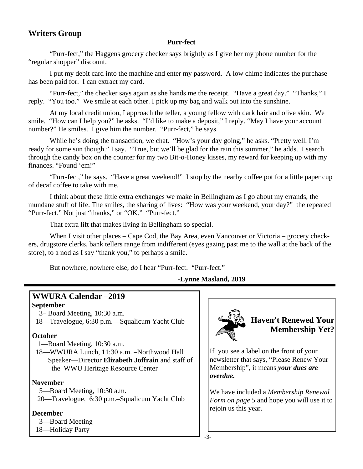### **Writers Group**

### **Purr-fect**

"Purr-fect," the Haggens grocery checker says brightly as I give her my phone number for the "regular shopper" discount.

 I put my debit card into the machine and enter my password. A low chime indicates the purchase has been paid for. I can extract my card.

 "Purr-fect," the checker says again as she hands me the receipt. "Have a great day." "Thanks," I reply. "You too." We smile at each other. I pick up my bag and walk out into the sunshine.

 At my local credit union, I approach the teller, a young fellow with dark hair and olive skin. We smile. "How can I help you?" he asks. "I'd like to make a deposit," I reply. "May I have your account number?" He smiles. I give him the number. "Purr-fect," he says.

While he's doing the transaction, we chat. "How's your day going," he asks. "Pretty well. I'm ready for some sun though." I say. "True, but we'll be glad for the rain this summer," he adds. I search through the candy box on the counter for my two Bit-o-Honey kisses, my reward for keeping up with my finances. "Found 'em!"

 "Purr-fect," he says. "Have a great weekend!" I stop by the nearby coffee pot for a little paper cup of decaf coffee to take with me.

 I think about these little extra exchanges we make in Bellingham as I go about my errands, the mundane stuff of life. The smiles, the sharing of lives: "How was your weekend, your day?" the repeated "Purr-fect." Not just "thanks," or "OK." "Purr-fect."

That extra lift that makes living in Bellingham so special.

When I visit other places – Cape Cod, the Bay Area, even Vancouver or Victoria – grocery checkers, drugstore clerks, bank tellers range from indifferent (eyes gazing past me to the wall at the back of the store), to a nod as I say "thank you," to perhaps a smile.

But nowhere, nowhere else*, do* I hear "Purr-fect. "Purr-fect."

### **-Lynne Masland, 2019**

### **WWURA Calendar –2019 September**

3– Board Meeting, 10:30 a.m.

18—Travelogue, 6:30 p.m.—Squalicum Yacht Club

### **October**

- 1—Board Meeting, 10:30 a.m.
- 18—WWURA Lunch, 11:30 a.m. –Northwood Hall Speaker—Director **Elizabeth Joffrain** and staff of the WWU Heritage Resource Center

#### **November**

5—Board Meeting, 10:30 a.m.

20—Travelogue, 6:30 p.m.–Squalicum Yacht Club

#### **December**

- 3—Board Meeting
- 18—Holiday Party



If you see a label on the front of your newsletter that says, "Please Renew Your Membership", it means *your dues are overdue.* 

We have included a *Membership Renewal Form on page 5* and hope you will use it to rejoin us this year.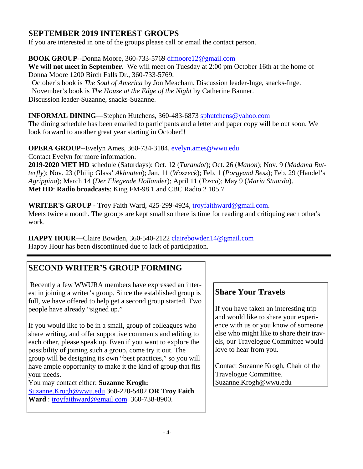### **SEPTEMBER 2019 INTEREST GROUPS**

If you are interested in one of the groups please call or email the contact person.

**BOOK GROUP**--Donna Moore, 360-733-5769 dfmoore12@gmail.com

**We will not meet in September.** We will meet on Tuesday at 2:00 pm October 16th at the home of Donna Moore 1200 Birch Falls Dr., 360-733-5769.

October's book is *The Soul of America* by Jon Meacham. Discussion leader-Inge, snacks-Inge.

November's book is *The House at the Edge of the Night* by Catherine Banner.

Discussion leader-Suzanne, snacks-Suzanne.

**INFORMAL DINING—Stephen Hutchens, 360-483-6873 sphutchens@yahoo.com** 

The dining schedule has been emailed to participants and a letter and paper copy will be out soon. We look forward to another great year starting in October!!

**OPERA GROUP**--Evelyn Ames, 360-734-3184, evelyn.ames@wwu.edu

Contact Evelyn for more information.

**2019-2020 MET HD** schedule (Saturdays): Oct. 12 (*Turandot*); Oct. 26 (*Manon*); Nov. 9 (*Madama Butterfly*); Nov. 23 (Philip Glass' *Akhnaten*); Jan. 11 (*Wozzeck*); Feb. 1 (*Porgyand Bess*); Feb. 29 (Handel's *Agrippina*); March 14 (*Der Fliegende Hollander*); April 11 (*Tosca*); May 9 (*Maria Stuarda*). **Met HD**: **Radio broadcasts**: King FM-98.1 and CBC Radio 2 105.7

**WRITER'S GROUP -** Troy Faith Ward, 425-299-4924, troyfaithward@gmail.com. Meets twice a month. The groups are kept small so there is time for reading and critiquing each other's work.

**HAPPY HOUR—**Claire Bowden, 360-540-2122 clairebowden14@gmail.com Happy Hour has been discontinued due to lack of participation.

## **SECOND WRITER'S GROUP FORMING**

 Recently a few WWURA members have expressed an interest in joining a writer's group. Since the established group is full, we have offered to help get a second group started. Two people have already "signed up."

If you would like to be in a small, group of colleagues who share writing, and offer supportive comments and editing to each other, please speak up. Even if you want to explore the possibility of joining such a group, come try it out. The group will be designing its own "best practices," so you will have ample opportunity to make it the kind of group that fits your needs.

You may contact either: **Suzanne Krogh:**  Suzanne.Krogh@wwu.edu 360-220-5402 **OR Troy Faith Ward** : troyfaithward@gmail.com 360-738-8900.

## **Share Your Travels**

If you have taken an interesting trip and would like to share your experience with us or you know of someone else who might like to share their travels, our Travelogue Committee would love to hear from you.

Contact Suzanne Krogh, Chair of the Travelogue Committee. Suzanne.Krogh@wwu.edu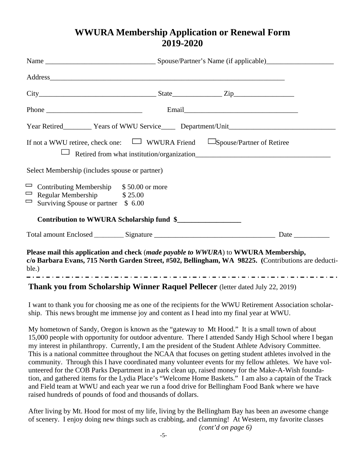# **WWURA Membership Application or Renewal Form 2019-2020**

| Address and the contract of the contract of the contract of the contract of the contract of the contract of the contract of the contract of the contract of the contract of the contract of the contract of the contract of th |  |  |
|--------------------------------------------------------------------------------------------------------------------------------------------------------------------------------------------------------------------------------|--|--|
|                                                                                                                                                                                                                                |  |  |
|                                                                                                                                                                                                                                |  |  |
|                                                                                                                                                                                                                                |  |  |
| If not a WWU retiree, check one: $\Box$ WWURA Friend $\Box$ Spouse/Partner of Retiree                                                                                                                                          |  |  |
| Select Membership (includes spouse or partner)                                                                                                                                                                                 |  |  |
| Contributing Membership $$50.00$ or more<br>Regular Membership $$25.00$<br>$\Box$ Surviving Spouse or partner \$ 6.00                                                                                                          |  |  |
| Contribution to WWURA Scholarship fund \$                                                                                                                                                                                      |  |  |
|                                                                                                                                                                                                                                |  |  |
| Please mail this application and check (made payable to WWURA) to WWURA Membership,<br>c/o Barbara Evans, 715 North Garden Street, #502, Bellingham, WA 98225. (Contributions are deducti-                                     |  |  |

ble.)

### **Thank you from Scholarship Winner Raquel Pellecer** (letter dated July 22, 2019)

I want to thank you for choosing me as one of the recipients for the WWU Retirement Association scholarship. This news brought me immense joy and content as I head into my final year at WWU.

My hometown of Sandy, Oregon is known as the "gateway to Mt Hood." It is a small town of about 15,000 people with opportunity for outdoor adventure. There I attended Sandy High School where I began my interest in philanthropy. Currently, I am the president of the Student Athlete Advisory Committee. This is a national committee throughout the NCAA that focuses on getting student athletes involved in the community. Through this I have coordinated many volunteer events for my fellow athletes. We have volunteered for the COB Parks Department in a park clean up, raised money for the Make-A-Wish foundation, and gathered items for the Lydia Place's "Welcome Home Baskets." I am also a captain of the Track and Field team at WWU and each year we run a food drive for Bellingham Food Bank where we have raised hundreds of pounds of food and thousands of dollars.

After living by Mt. Hood for most of my life, living by the Bellingham Bay has been an awesome change of scenery. I enjoy doing new things such as crabbing, and clamming! At Western, my favorite classes *(cont'd on page 6)*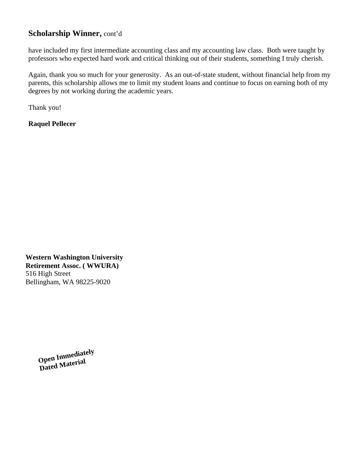### **Scholarship Winner,** cont'd

have included my first intermediate accounting class and my accounting law class. Both were taught by professors who expected hard work and critical thinking out of their students, something I truly cherish.

Again, thank you so much for your generosity. As an out-of-state student, without financial help from my parents, this scholarship allows me to limit my student loans and continue to focus on earning both of my degrees by not working during the academic years.

Thank you!

**Raquel Pellecer** 

**Western Washington University Retirement Assoc. ( WWURA)**  516 High Street Bellingham, WA 98225-9020

> **Open Immediately Dated Material**